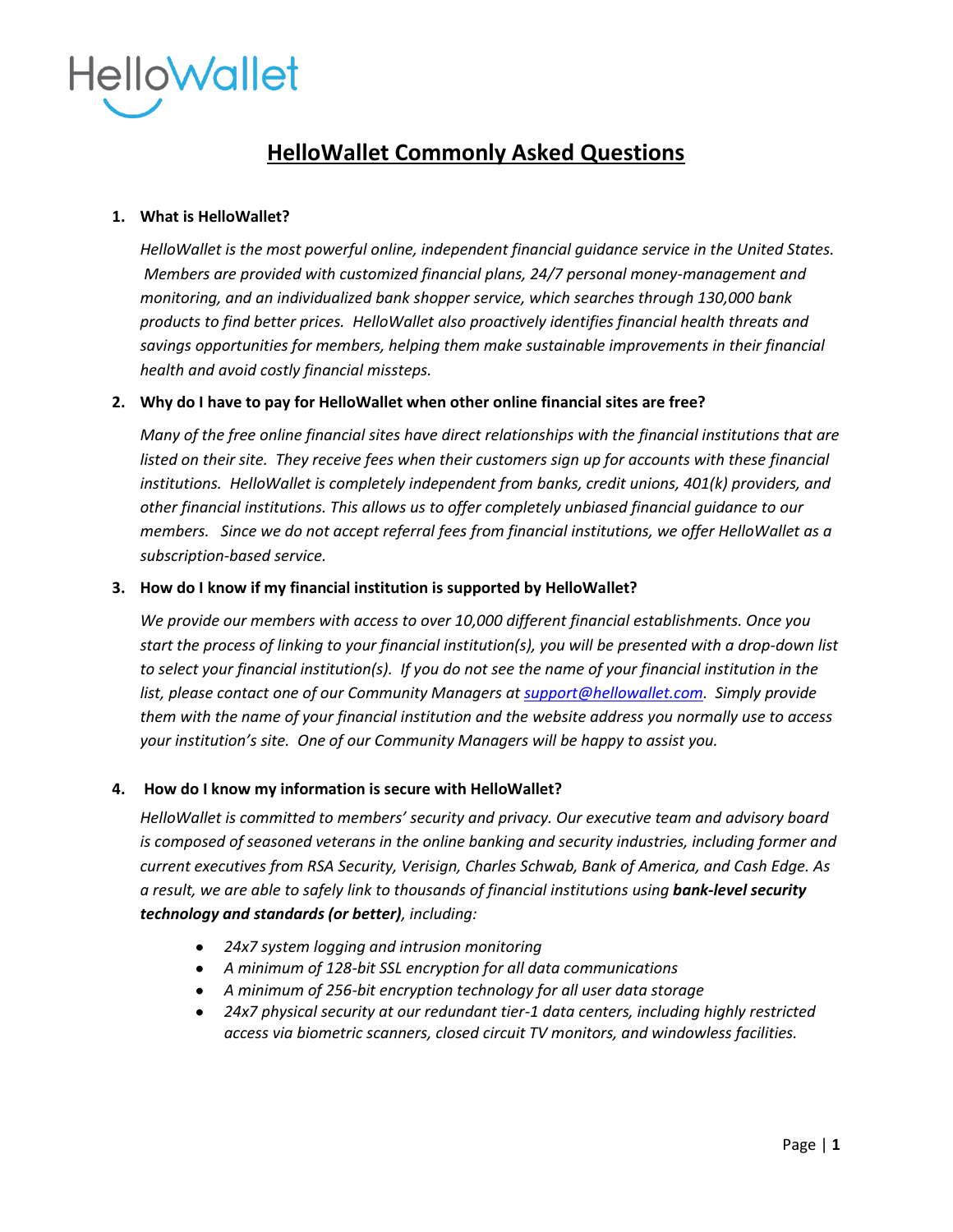

# **HelloWallet Commonly Asked Questions**

# **1. What is HelloWallet?**

*HelloWallet is the most powerful online, independent financial guidance service in the United States. Members are provided with customized financial plans, 24/7 personal money-management and monitoring, and an individualized bank shopper service, which searches through 130,000 bank products to find better prices. HelloWallet also proactively identifies financial health threats and savings opportunities for members, helping them make sustainable improvements in their financial health and avoid costly financial missteps.*

# **2. Why do I have to pay for HelloWallet when other online financial sites are free?**

*Many of the free online financial sites have direct relationships with the financial institutions that are listed on their site. They receive fees when their customers sign up for accounts with these financial institutions. HelloWallet is completely independent from banks, credit unions, 401(k) providers, and other financial institutions. This allows us to offer completely unbiased financial guidance to our members. Since we do not accept referral fees from financial institutions, we offer HelloWallet as a subscription-based service.*

# **3. How do I know if my financial institution is supported by HelloWallet?**

*We provide our members with access to over 10,000 different financial establishments. Once you start the process of linking to your financial institution(s), you will be presented with a drop-down list to select your financial institution(s). If you do not see the name of your financial institution in the list, please contact one of our Community Managers at [support@hellowallet.com.](mailto:support@hellowallet.com) Simply provide them with the name of your financial institution and the website address you normally use to access your institution's site. One of our Community Managers will be happy to assist you.*

# **4. How do I know my information is secure with HelloWallet?**

*HelloWallet is committed to members' security and privacy. Our executive team and advisory board is composed of seasoned veterans in the online banking and security industries, including former and current executives from RSA Security, Verisign, Charles Schwab, Bank of America, and Cash Edge. As*  a result, we are able to safely link to thousands of financial institutions using **bank-level security** *technology and standards (or better), including:*

- *24x7 system logging and intrusion monitoring*
- *A minimum of 128-bit SSL encryption for all data communications*
- *A minimum of 256-bit encryption technology for all user data storage*
- *24x7 physical security at our redundant tier-1 data centers, including highly restricted access via biometric scanners, closed circuit TV monitors, and windowless facilities.*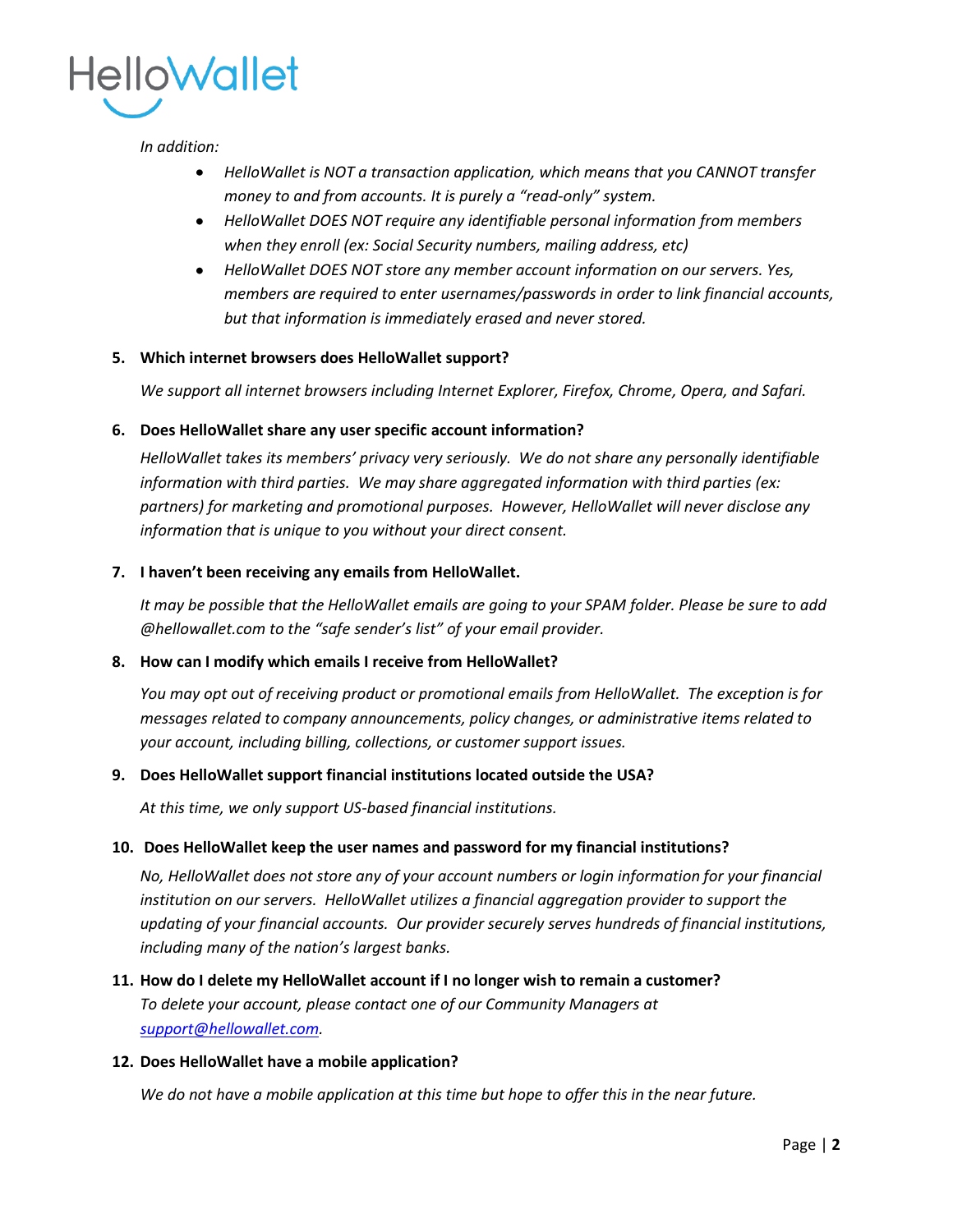

#### *In addition:*

- *HelloWallet is NOT a transaction application, which means that you CANNOT transfer*   $\bullet$ *money to and from accounts. It is purely a "read-only" system.*
- *HelloWallet DOES NOT require any identifiable personal information from members when they enroll (ex: Social Security numbers, mailing address, etc)*
- *HelloWallet DOES NOT store any member account information on our servers. Yes, members are required to enter usernames/passwords in order to link financial accounts, but that information is immediately erased and never stored.*

# **5. Which internet browsers does HelloWallet support?**

*We support all internet browsers including Internet Explorer, Firefox, Chrome, Opera, and Safari.*

#### **6. Does HelloWallet share any user specific account information?**

*HelloWallet takes its members' privacy very seriously. We do not share any personally identifiable information with third parties. We may share aggregated information with third parties (ex: partners) for marketing and promotional purposes. However, HelloWallet will never disclose any information that is unique to you without your direct consent.*

#### **7. I haven't been receiving any emails from HelloWallet.**

*It may be possible that the HelloWallet emails are going to your SPAM folder. Please be sure to add @hellowallet.com to the "safe sender's list" of your email provider.*

#### **8. How can I modify which emails I receive from HelloWallet?**

*You may opt out of receiving product or promotional emails from HelloWallet. The exception is for messages related to company announcements, policy changes, or administrative items related to your account, including billing, collections, or customer support issues.* 

#### **9. Does HelloWallet support financial institutions located outside the USA?**

*At this time, we only support US-based financial institutions.*

#### **10. Does HelloWallet keep the user names and password for my financial institutions?**

*No, HelloWallet does not store any of your account numbers or login information for your financial institution on our servers. HelloWallet utilizes a financial aggregation provider to support the updating of your financial accounts. Our provider securely serves hundreds of financial institutions, including many of the nation's largest banks.* 

# **11. How do I delete my HelloWallet account if I no longer wish to remain a customer?** *To delete your account, please contact one of our Community Managers at [support@hellowallet.com.](mailto:support@hellowallet.com)*

# **12. Does HelloWallet have a mobile application?**

*We do not have a mobile application at this time but hope to offer this in the near future.*